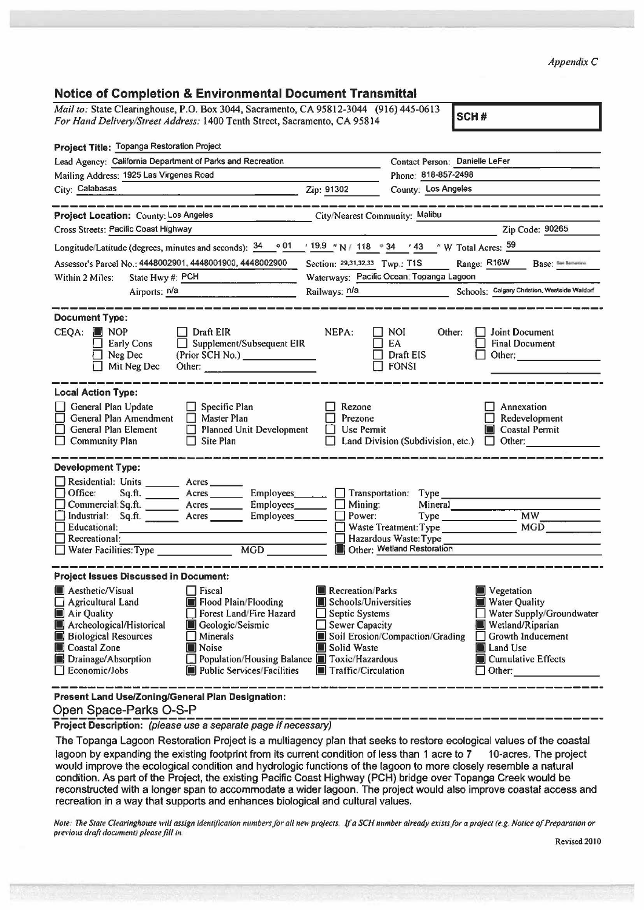*Appendix C* 

| <b>Notice of Completion &amp; Environmental Document Transmittal</b> |  |  |  |  |  |  |
|----------------------------------------------------------------------|--|--|--|--|--|--|
|----------------------------------------------------------------------|--|--|--|--|--|--|

| Notice of Completion & Environmental Document Transmittar                                                                                                          |                                                                                                                                                                                                                                                                                  |  |  |
|--------------------------------------------------------------------------------------------------------------------------------------------------------------------|----------------------------------------------------------------------------------------------------------------------------------------------------------------------------------------------------------------------------------------------------------------------------------|--|--|
| Mail to: State Clearinghouse, P.O. Box 3044, Sacramento, CA 95812-3044 (916) 445-0613<br>For Hand Delivery/Street Address: 1400 Tenth Street, Sacramento, CA 95814 | SCH#                                                                                                                                                                                                                                                                             |  |  |
|                                                                                                                                                                    |                                                                                                                                                                                                                                                                                  |  |  |
| Project Title: Topanga Restoration Project                                                                                                                         |                                                                                                                                                                                                                                                                                  |  |  |
| Lead Agency: California Department of Parks and Recreation                                                                                                         | Contact Person: Danielle LeFer                                                                                                                                                                                                                                                   |  |  |
| Mailing Address: 1925 Las Virgenes Road                                                                                                                            | Phone: 818-857-2498                                                                                                                                                                                                                                                              |  |  |
| City: Calabasas<br><u> 1980 - An Aonaichte ann an Chairm an Chairm ann an Chairm ann an Chairm ann an Chairm ann an Chairm ann an Ch</u>                           | County: Los Angeles<br>Zip: 91302                                                                                                                                                                                                                                                |  |  |
| ________________<br>Project Location: County: Los Angeles                                                                                                          | City/Nearest Community: Malibu                                                                                                                                                                                                                                                   |  |  |
| Cross Streets: Pacific Coast Highway                                                                                                                               | Zip Code: 90265                                                                                                                                                                                                                                                                  |  |  |
| Longitude/Latitude (degrees, minutes and seconds): $\frac{34}{9}$ of $\frac{19.9}{18}$ "N / 118 . 34 . 43 . "W Total Acres: $\frac{59}{9}$                         |                                                                                                                                                                                                                                                                                  |  |  |
| Assessor's Parcel No.: 4448002901, 4448001900, 4448002900                                                                                                          | Base: San Barnantino<br>Section: 29.31.32.33 Twp.: T1S<br>Range: R16W                                                                                                                                                                                                            |  |  |
| State Hwy #: PCH<br>Within 2 Miles:<br><u> 1980 - Andre Stadt Britain, marking a</u>                                                                               | Waterways: Pacific Ocean; Topanga Lagoon                                                                                                                                                                                                                                         |  |  |
| Airports: $n/a$                                                                                                                                                    | Schools: Calgary Christion, Westside Waldorf<br>Railways: n/a                                                                                                                                                                                                                    |  |  |
|                                                                                                                                                                    |                                                                                                                                                                                                                                                                                  |  |  |
| <b>Document Type:</b>                                                                                                                                              |                                                                                                                                                                                                                                                                                  |  |  |
| CEQA:<br><b>NOP</b><br>$\Box$ Draft EIR                                                                                                                            | NEPA:<br><b>NOI</b><br>Joint Document<br>Other:                                                                                                                                                                                                                                  |  |  |
| Supplement/Subsequent EIR<br><b>Early Cons</b><br>П.<br>(Prior SCH No.) ______________<br>Neg Dec                                                                  | EA<br><b>Final Document</b><br>Draft EIS<br>Other: and the contract of the contract of the contract of the contract of the contract of the contract of the                                                                                                                       |  |  |
| Mit Neg Dec                                                                                                                                                        | $\Box$ FONSI                                                                                                                                                                                                                                                                     |  |  |
|                                                                                                                                                                    |                                                                                                                                                                                                                                                                                  |  |  |
| <b>Local Action Type:</b>                                                                                                                                          |                                                                                                                                                                                                                                                                                  |  |  |
| General Plan Update<br>$\Box$ Specific Plan                                                                                                                        | Annexation<br>Rezone                                                                                                                                                                                                                                                             |  |  |
| General Plan Amendment<br>$\Box$ Master Plan                                                                                                                       | Prezone<br>Redevelopment                                                                                                                                                                                                                                                         |  |  |
| General Plan Element<br>Planned Unit Development<br>$\Box$ Site Plan                                                                                               | Coastal Permit<br>Use Permit<br>П<br>Land Division (Subdivision, etc.) $\Box$ Other:                                                                                                                                                                                             |  |  |
| <b>Community Plan</b><br>П                                                                                                                                         |                                                                                                                                                                                                                                                                                  |  |  |
| <b>Development Type:</b>                                                                                                                                           |                                                                                                                                                                                                                                                                                  |  |  |
| Residential: Units ________ Acres ______                                                                                                                           |                                                                                                                                                                                                                                                                                  |  |  |
| $\Box$ Office:<br>Sq.ft. _________ Acres _________ Employees_______                                                                                                | Transportation: Type                                                                                                                                                                                                                                                             |  |  |
| Commercial: Sq.ft. ________ Acres _________ Employees _______ □                                                                                                    | Mining:<br>Mineral                                                                                                                                                                                                                                                               |  |  |
| Industrial: Sq.ft. _______ Acres ________ Employees_______<br>Educational:                                                                                         | MW<br>Power:<br>Type the control of the control of the control of the control of the control of the control of the control of the control of the control of the control of the control of the control of the control of the control of the con<br>MGD 3<br>Waste Treatment: Type |  |  |
| Recreational:                                                                                                                                                      | Hazardous Waste: Type                                                                                                                                                                                                                                                            |  |  |
| Recreational:<br>Water Facilities: Type ___________________<br>MGD                                                                                                 | Other: Wetland Restoration                                                                                                                                                                                                                                                       |  |  |
|                                                                                                                                                                    |                                                                                                                                                                                                                                                                                  |  |  |
| <b>Project Issues Discussed in Document:</b>                                                                                                                       |                                                                                                                                                                                                                                                                                  |  |  |
| <b>Aesthetic/Visual</b><br>  Fiscal                                                                                                                                | <b>Recreation/Parks</b><br>Vegetation                                                                                                                                                                                                                                            |  |  |
| Agricultural Land<br>Flood Plain/Flooding<br>Air Quality<br>Forest Land/Fire Hazard                                                                                | Schools/Universities<br><b>Water Quality</b><br>Water Supply/Groundwater<br>Septic Systems                                                                                                                                                                                       |  |  |
| Archeological/Historical<br>Geologic/Seismic                                                                                                                       | Sewer Capacity<br>Wetland/Riparian                                                                                                                                                                                                                                               |  |  |
| <b>Biological Resources</b><br>Minerals<br>ш                                                                                                                       | Soil Erosion/Compaction/Grading<br>Growth Inducement                                                                                                                                                                                                                             |  |  |
| Coastal Zone<br><b>Noise</b>                                                                                                                                       | Solid Waste<br>Land Use                                                                                                                                                                                                                                                          |  |  |
| Population/Housing Balance   Toxic/Hazardous<br>Drainage/Absorption                                                                                                | <b>Cumulative Effects</b>                                                                                                                                                                                                                                                        |  |  |
| Economic/Jobs<br><b>Public Services/Facilities</b>                                                                                                                 | <b>I</b> Traffic/Circulation<br>$\Box$ Other:                                                                                                                                                                                                                                    |  |  |
| Present Land Use/Zoning/General Plan Designation:                                                                                                                  |                                                                                                                                                                                                                                                                                  |  |  |

Open Space-Parks O-S-P<br>**Project Description:** (please use a separate page if necessary)

The Topanga Lagoon Restoration Project is a multiagency plan that seeks to restore ecological values of the coastal lagoon by expanding the existing footprint from its current condition of less than 1 acre to 7 10-acres. The project would improve the ecological condition and hydrologic functions of the lagoon to more closely resemble a natural condition. As part of the Project, the existing Pacific Coast Highway (PCH) bridge over Topanga Creek would be reconstructed with a longer span to accommodate a wider lagoon. The project would also improve coastal access and recreation in a way that supports and enhances biological and cultural values.

*Note*: The State Clearinghouse will assign identification numbers for all new projects. If a SCH number already exists for a project (e.g. Notice of Preparation or *previous draft document) please fill in* 

Revised 20IO